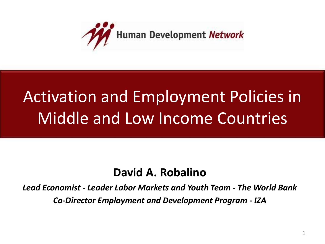

## Activation and Employment Policies in Middle and Low Income Countries

### **David A. Robalino**

*Lead Economist - Leader Labor Markets and Youth Team - The World Bank Co-Director Employment and Development Program - IZA*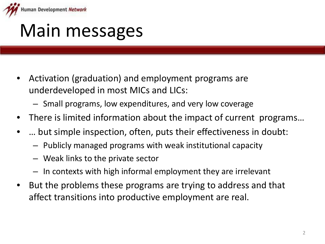

## Main messages

- Activation (graduation) and employment programs are underdeveloped in most MICs and LICs:
	- Small programs, low expenditures, and very low coverage
- There is limited information about the impact of current programs...
- ... but simple inspection, often, puts their effectiveness in doubt:
	- Publicly managed programs with weak institutional capacity
	- Weak links to the private sector
	- In contexts with high informal employment they are irrelevant
- But the problems these programs are trying to address and that affect transitions into productive employment are real.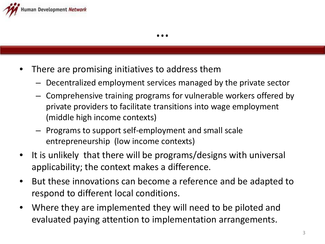

- There are promising initiatives to address them
	- Decentralized employment services managed by the private sector
	- Comprehensive training programs for vulnerable workers offered by private providers to facilitate transitions into wage employment (middle high income contexts)
	- Programs to support self-employment and small scale entrepreneurship (low income contexts)
- It is unlikely that there will be programs/designs with universal applicability; the context makes a difference.
- But these innovations can become a reference and be adapted to respond to different local conditions.
- Where they are implemented they will need to be piloted and evaluated paying attention to implementation arrangements.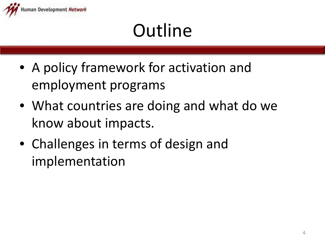

# **Outline**

- A policy framework for activation and employment programs
- What countries are doing and what do we know about impacts.
- Challenges in terms of design and implementation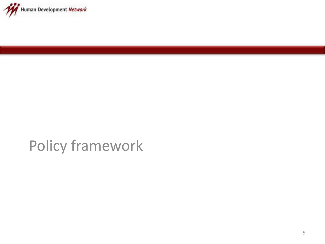

## Policy framework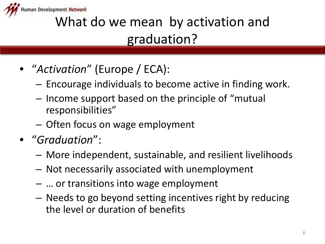

## What do we mean by activation and graduation?

- "*Activation*" (Europe / ECA):
	- Encourage individuals to become active in finding work.
	- Income support based on the principle of "mutual responsibilities"
	- Often focus on wage employment
- "*Graduation*":
	- More independent, sustainable, and resilient livelihoods
	- Not necessarily associated with unemployment
	- … or transitions into wage employment
	- Needs to go beyond setting incentives right by reducing the level or duration of benefits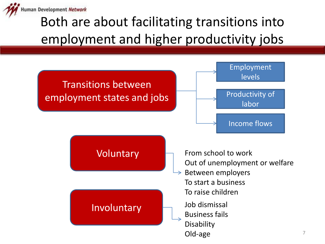

### Both are about facilitating transitions into employment and higher productivity jobs

![](_page_6_Figure_2.jpeg)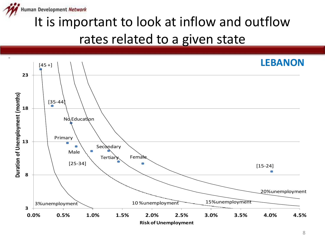![](_page_7_Picture_0.jpeg)

### It is important to look at inflow and outflow rates related to a given state

![](_page_7_Figure_2.jpeg)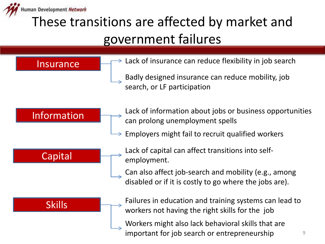![](_page_8_Picture_0.jpeg)

### These transitions are affected by market and government failures

Insurance

- $\rightarrow$  Lack of insurance can reduce flexibility in job search
	- Badly designed insurance can reduce mobility, job search, or LF participation

#### Information

- Lack of information about jobs or business opportunities can prolong unemployment spells
- Employers might fail to recruit qualified workers

![](_page_8_Figure_8.jpeg)

- Lack of capital can affect transitions into selfemployment.
	- Can also affect job-search and mobility (e.g., among disabled or if it is costly to go where the jobs are).

Failures in education and training systems can lead to workers not having the right skills for the job

Workers might also lack behavioral skills that are important for job search or entrepreneurship

#### Skills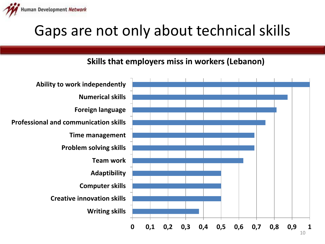![](_page_9_Picture_0.jpeg)

## Gaps are not only about technical skills

#### **Skills that employers miss in workers (Lebanon)**

![](_page_9_Figure_3.jpeg)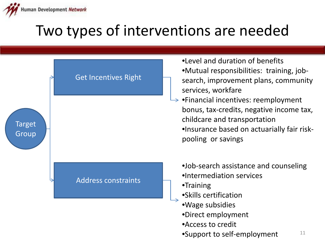![](_page_10_Picture_0.jpeg)

## Two types of interventions are needed

|                        | <b>Get Incentives Right</b> |  |
|------------------------|-----------------------------|--|
| <b>Target</b><br>Group |                             |  |
|                        | <b>Address constraints</b>  |  |
|                        |                             |  |

- •Level and duration of benefits
- •Mutual responsibilities: training, jobsearch, improvement plans, community services, workfare
- $\rightarrow$  •Financial incentives: reemployment bonus, tax-credits, negative income tax, childcare and transportation •Insurance based on actuarially fair riskpooling or savings
	- •Job-search assistance and counseling
	- •Intermediation services
	- •Training
	- •Skills certification
	- •Wage subsidies
	- •Direct employment
	- •Access to credit
	- 11 •Support to self-employment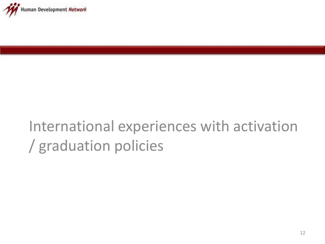![](_page_11_Picture_0.jpeg)

## International experiences with activation / graduation policies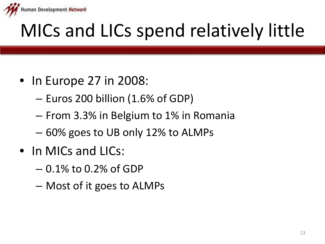![](_page_12_Picture_0.jpeg)

# MICs and LICs spend relatively little

- In Europe 27 in 2008:
	- Euros 200 billion (1.6% of GDP)
	- From 3.3% in Belgium to 1% in Romania
	- 60% goes to UB only 12% to ALMPs
- In MICs and LICs:
	- 0.1% to 0.2% of GDP
	- Most of it goes to ALMPs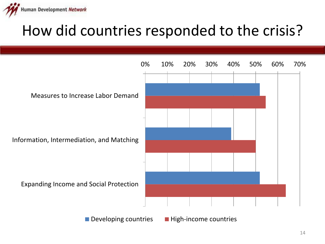![](_page_13_Picture_0.jpeg)

## How did countries responded to the crisis?

![](_page_13_Figure_2.jpeg)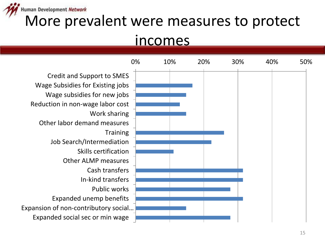![](_page_14_Picture_0.jpeg)

### More prevalent were measures to protect

### incomes

![](_page_14_Figure_3.jpeg)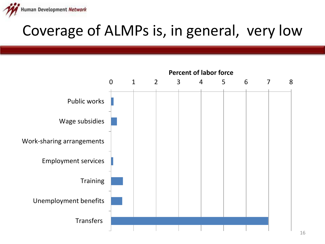![](_page_15_Picture_0.jpeg)

## Coverage of ALMPs is, in general, very low

![](_page_15_Figure_2.jpeg)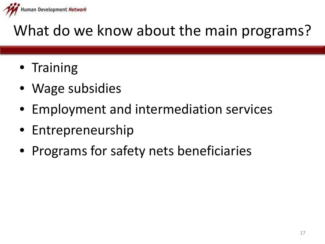![](_page_16_Picture_0.jpeg)

## What do we know about the main programs?

- Training
- Wage subsidies
- Employment and intermediation services
- Entrepreneurship
- Programs for safety nets beneficiaries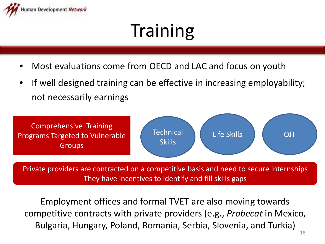![](_page_17_Picture_0.jpeg)

# **Training**

- Most evaluations come from OECD and LAC and focus on youth
- If well designed training can be effective in increasing employability; not necessarily earnings

![](_page_17_Figure_4.jpeg)

Private providers are contracted on a competitive basis and need to secure internships They have incentives to identify and fill skills gaps

Employment offices and formal TVET are also moving towards competitive contracts with private providers (e.g., *Probecat* in Mexico, Bulgaria, Hungary, Poland, Romania, Serbia, Slovenia, and Turkia)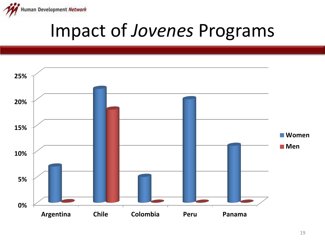![](_page_18_Picture_0.jpeg)

## Impact of *Jovenes* Programs

![](_page_18_Figure_2.jpeg)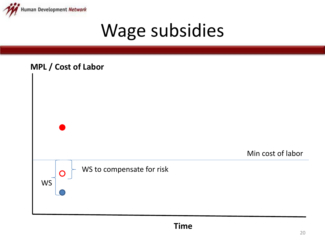![](_page_19_Picture_0.jpeg)

## Wage subsidies

![](_page_19_Figure_2.jpeg)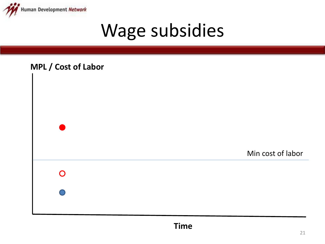![](_page_20_Picture_0.jpeg)

## Wage subsidies

![](_page_20_Figure_2.jpeg)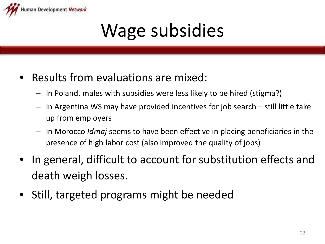![](_page_21_Picture_0.jpeg)

# Wage subsidies

- Results from evaluations are mixed:
	- In Poland, males with subsidies were less likely to be hired (stigma?)
	- In Argentina WS may have provided incentives for job search still little take up from employers
	- In Morocco *Idmaj* seems to have been effective in placing beneficiaries in the presence of high labor cost (also improved the quality of jobs)
- In general, difficult to account for substitution effects and death weigh losses.
- Still, targeted programs might be needed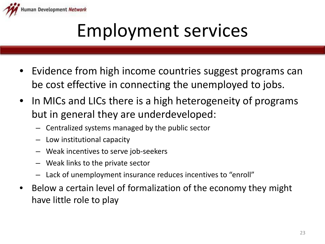![](_page_22_Picture_0.jpeg)

## Employment services

- Evidence from high income countries suggest programs can be cost effective in connecting the unemployed to jobs.
- In MICs and LICs there is a high heterogeneity of programs but in general they are underdeveloped:
	- Centralized systems managed by the public sector
	- Low institutional capacity
	- Weak incentives to serve job-seekers
	- Weak links to the private sector
	- Lack of unemployment insurance reduces incentives to "enroll"
- Below a certain level of formalization of the economy they might have little role to play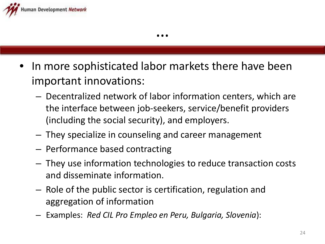![](_page_23_Picture_0.jpeg)

- In more sophisticated labor markets there have been important innovations:
	- Decentralized network of labor information centers, which are the interface between job-seekers, service/benefit providers (including the social security), and employers.
	- They specialize in counseling and career management
	- Performance based contracting
	- They use information technologies to reduce transaction costs and disseminate information.
	- Role of the public sector is certification, regulation and aggregation of information
	- Examples: *Red CIL Pro Empleo en Peru, Bulgaria, Slovenia*):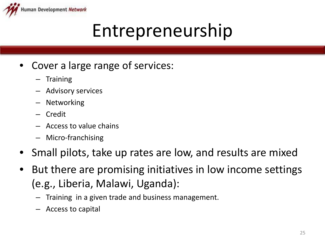![](_page_24_Picture_0.jpeg)

## Entrepreneurship

- Cover a large range of services:
	- Training
	- Advisory services
	- **Networking**
	- Credit
	- Access to value chains
	- Micro-franchising
- Small pilots, take up rates are low, and results are mixed
- But there are promising initiatives in low income settings (e.g., Liberia, Malawi, Uganda):
	- Training in a given trade and business management.
	- Access to capital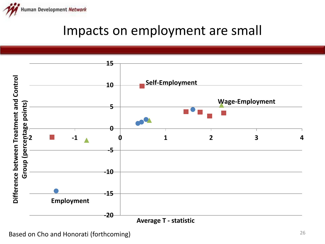![](_page_25_Picture_0.jpeg)

### Impacts on employment are small

![](_page_25_Figure_2.jpeg)

Based on Cho and Honorati (forthcoming)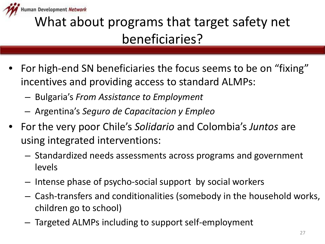![](_page_26_Picture_0.jpeg)

### What about programs that target safety net beneficiaries?

- For high-end SN beneficiaries the focus seems to be on "fixing" incentives and providing access to standard ALMPs:
	- Bulgaria's *From Assistance to Employment*
	- Argentina's *Seguro de Capacitacion y Empleo*
- For the very poor Chile's *Solidario* and Colombia's *Juntos* are using integrated interventions:
	- Standardized needs assessments across programs and government levels
	- Intense phase of psycho-social support by social workers
	- Cash-transfers and conditionalities (somebody in the household works, children go to school)
	- Targeted ALMPs including to support self-employment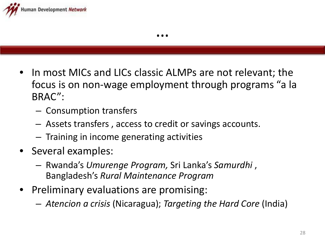![](_page_27_Picture_0.jpeg)

- In most MICs and LICs classic ALMPs are not relevant; the focus is on non-wage employment through programs "a la BRAC":
	- Consumption transfers
	- Assets transfers , access to credit or savings accounts.
	- Training in income generating activities
- Several examples:
	- Rwanda's *Umurenge Program,* Sri Lanka's *Samurdhi* , Bangladesh's *Rural Maintenance Program*
- Preliminary evaluations are promising:
	- *Atencion a crisis* (Nicaragua); *Targeting the Hard Core* (India)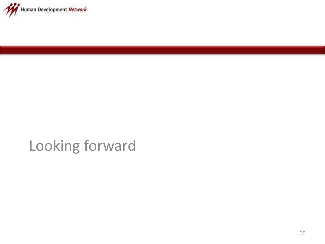![](_page_28_Picture_0.jpeg)

### Looking forward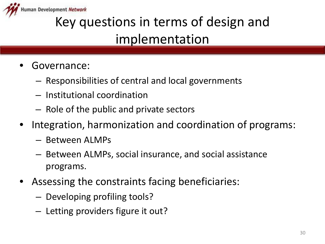![](_page_29_Picture_0.jpeg)

## Key questions in terms of design and implementation

- Governance:
	- Responsibilities of central and local governments
	- Institutional coordination
	- Role of the public and private sectors
- Integration, harmonization and coordination of programs:
	- Between ALMPs
	- Between ALMPs, social insurance, and social assistance programs.
- Assessing the constraints facing beneficiaries:
	- Developing profiling tools?
	- Letting providers figure it out?